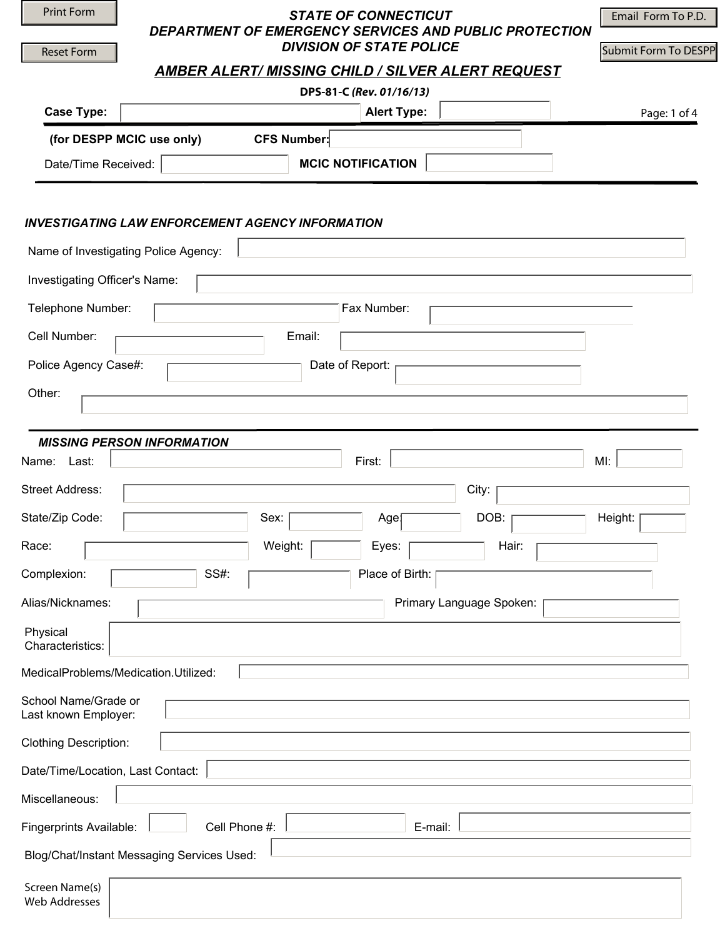| <b>Print Form</b>                            | <b>STATE OF CONNECTICUT</b>                                                               | Email Form To P.D.   |
|----------------------------------------------|-------------------------------------------------------------------------------------------|----------------------|
| <b>Reset Form</b>                            | DEPARTMENT OF EMERGENCY SERVICES AND PUBLIC PROTECTION<br><b>DIVISION OF STATE POLICE</b> |                      |
|                                              | <b>AMBER ALERT/ MISSING CHILD / SILVER ALERT REQUEST</b>                                  | Submit Form To DESPP |
|                                              | DPS-81-C (Rev. 01/16/13)                                                                  |                      |
| <b>Case Type:</b>                            | $\overline{\phantom{a}}$<br><b>Alert Type:</b><br>$\vert \mathbf{v} \vert$                | Page: 1 of 4         |
|                                              | (for DESPP MCIC use only)<br><b>CFS Number:</b>                                           |                      |
| Date/Time Received:                          | $\blacktriangledown$<br><b>MCIC NOTIFICATION</b>                                          |                      |
|                                              |                                                                                           |                      |
|                                              | <b>INVESTIGATING LAW ENFORCEMENT AGENCY INFORMATION</b>                                   |                      |
|                                              | Name of Investigating Police Agency:                                                      |                      |
| Investigating Officer's Name:                |                                                                                           |                      |
| Telephone Number:                            | Fax Number:                                                                               |                      |
| Cell Number:                                 | Email:                                                                                    |                      |
| Police Agency Case#:                         | Date of Report:                                                                           |                      |
| Other:                                       |                                                                                           |                      |
|                                              |                                                                                           |                      |
|                                              | <b>MISSING PERSON INFORMATION</b>                                                         |                      |
| Name: Last:                                  | First:<br>MI:                                                                             |                      |
| <b>Street Address:</b>                       | City:                                                                                     |                      |
| State/Zip Code:                              | DOB:<br>Sex:<br>Age<br>$\left  \mathbf{v} \right $                                        | Height:              |
| Race:                                        | Weight:<br>Hair:<br>Eyes:<br>$\blacktriangledown$<br>$\overline{\phantom{0}}$             |                      |
| Complexion:                                  | SS#:<br>Place of Birth:                                                                   |                      |
| Alias/Nicknames:                             | Primary Language Spoken:                                                                  |                      |
| Physical<br>Characteristics:                 |                                                                                           |                      |
| MedicalProblems/Medication.Utilized:         |                                                                                           |                      |
| School Name/Grade or<br>Last known Employer: |                                                                                           |                      |
| <b>Clothing Description:</b>                 |                                                                                           |                      |
| Date/Time/Location, Last Contact:            |                                                                                           |                      |
| Miscellaneous:                               |                                                                                           |                      |
| Fingerprints Available:                      | $\blacktriangledown$<br>Cell Phone #:<br>E-mail:                                          |                      |
| Blog/Chat/Instant Messaging Services Used:   |                                                                                           |                      |
| Screen Name(s)<br><b>Web Addresses</b>       |                                                                                           |                      |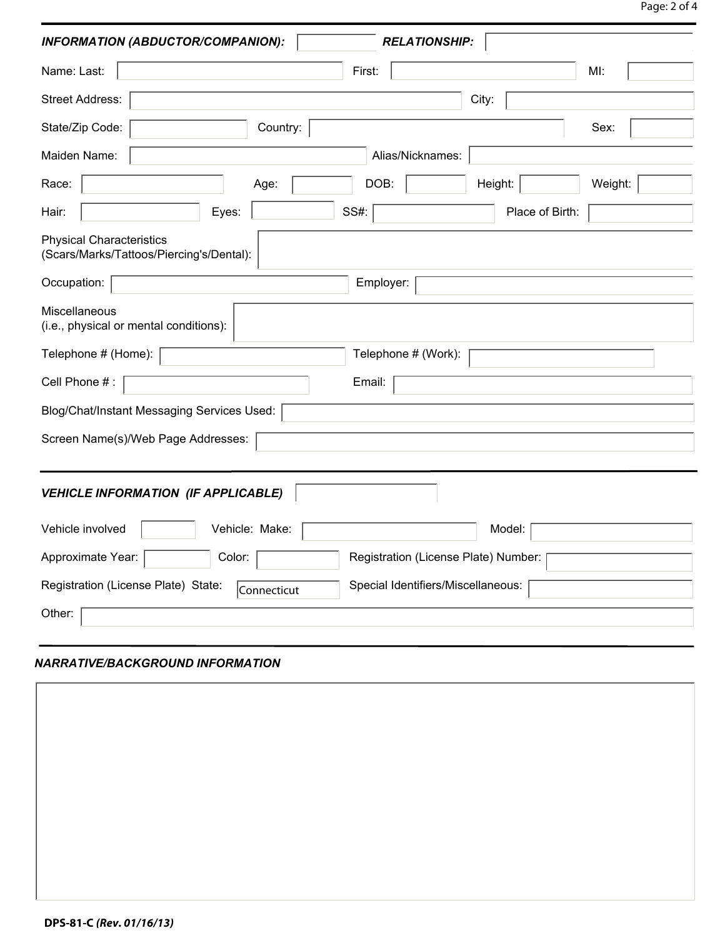| <b>RELATIONSHIP:</b><br>INFORMATION (ABDUCTOR/COMPANION):<br>$\vert \bm{\mathbf{v}} \vert$ |  |  |  |
|--------------------------------------------------------------------------------------------|--|--|--|
| Name: Last:<br>First:<br>MI:                                                               |  |  |  |
| Street Address:<br>City:                                                                   |  |  |  |
| Country:<br>State/Zip Code:<br>Sex:<br>$\blacktriangledown$                                |  |  |  |
| Maiden Name:<br>Alias/Nicknames:                                                           |  |  |  |
| $\left  \mathbf{v} \right $<br>DOB:<br>Height:<br>Weight:<br>Race:<br>Age:                 |  |  |  |
| $\blacktriangledown$<br>$\left  \right $<br>Eyes:<br>SS#:<br>Place of Birth:<br>Hair:      |  |  |  |
| <b>Physical Characteristics</b><br>(Scars/Marks/Tattoos/Piercing's/Dental):                |  |  |  |
| Occupation:<br>Employer:                                                                   |  |  |  |
| Miscellaneous<br>(i.e., physical or mental conditions):                                    |  |  |  |
| Telephone # (Home):<br>Telephone # (Work):                                                 |  |  |  |
| Cell Phone #:<br>Email:                                                                    |  |  |  |
| Blog/Chat/Instant Messaging Services Used:                                                 |  |  |  |
| Screen Name(s)/Web Page Addresses:                                                         |  |  |  |
|                                                                                            |  |  |  |
| $\left  \cdot \right $<br><b>VEHICLE INFORMATION (IF APPLICABLE)</b>                       |  |  |  |
| Vehicle involved<br>Vehicle: Make:<br>Model:<br>$\blacktriangledown$                       |  |  |  |
| Approximate Year:<br>Color:<br>Registration (License Plate) Number:                        |  |  |  |
| Registration (License Plate) State:<br>Special Identifiers/Miscellaneous:<br>Connecticut   |  |  |  |
| Other:                                                                                     |  |  |  |

## *NARRATIVE/BACKGROUND INFORMATION*

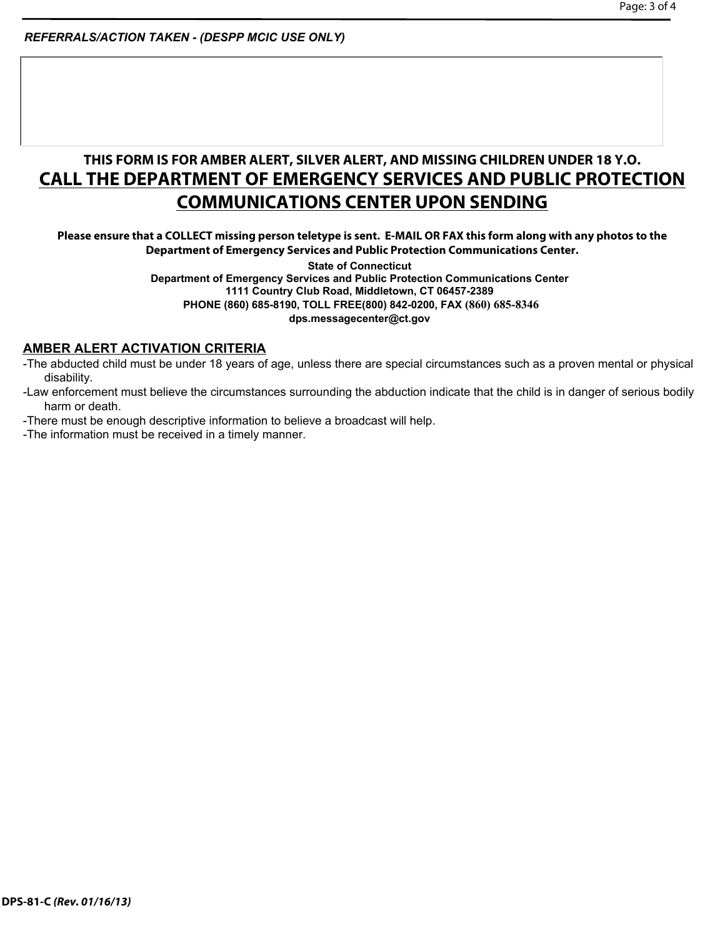*REFERRALS/ACTION TAKEN - (DESPP MCIC USE ONLY)*

## **THIS FORM IS FOR AMBER ALERT, SILVER ALERT, AND MISSING CHILDREN UNDER 18 Y.O. CALL THE DEPARTMENT OF EMERGENCY SERVICES AND PUBLIC PROTECTION COMMUNICATIONS CENTER UPON SENDING**

**Please ensure that a COLLECT missing person teletype is sent. E-MAIL OR FAX this form along with any photos to the Department of Emergency Services and Public Protection Communications Center.** 

> **State of Connecticut Department of Emergency Services and Public Protection Communications Center 1111 Country Club Road, Middletown, CT 06457-2389 PHONE (860) 685-8190, TOLL FREE(800) 842-0200, FAX (860) 685-8346 dps.messagecenter@ct.gov**

## **AMBER ALERT ACTIVATION CRITERIA**

- -The abducted child must be under 18 years of age, unless there are special circumstances such as a proven mental or physical disability.
- -Law enforcement must believe the circumstances surrounding the abduction indicate that the child is in danger of serious bodily harm or death.
- -There must be enough descriptive information to believe a broadcast will help.
- -The information must be received in a timely manner.